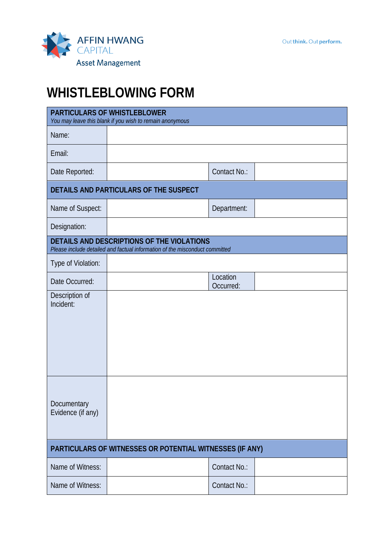

## **WHISTLEBLOWING FORM**

| <b>PARTICULARS OF WHISTLEBLOWER</b><br>You may leave this blank if you wish to remain anonymous                           |  |                       |  |  |
|---------------------------------------------------------------------------------------------------------------------------|--|-----------------------|--|--|
| Name:                                                                                                                     |  |                       |  |  |
| Email:                                                                                                                    |  |                       |  |  |
| Date Reported:                                                                                                            |  | Contact No.:          |  |  |
| DETAILS AND PARTICULARS OF THE SUSPECT                                                                                    |  |                       |  |  |
| Name of Suspect:                                                                                                          |  | Department:           |  |  |
| Designation:                                                                                                              |  |                       |  |  |
| DETAILS AND DESCRIPTIONS OF THE VIOLATIONS<br>Please include detailed and factual information of the misconduct committed |  |                       |  |  |
| Type of Violation:                                                                                                        |  |                       |  |  |
| Date Occurred:                                                                                                            |  | Location<br>Occurred: |  |  |
| Description of<br>Incident:                                                                                               |  |                       |  |  |
|                                                                                                                           |  |                       |  |  |
|                                                                                                                           |  |                       |  |  |
|                                                                                                                           |  |                       |  |  |
|                                                                                                                           |  |                       |  |  |
|                                                                                                                           |  |                       |  |  |
| Documentary<br>Evidence (if any)                                                                                          |  |                       |  |  |
|                                                                                                                           |  |                       |  |  |
| PARTICULARS OF WITNESSES OR POTENTIAL WITNESSES (IF ANY)                                                                  |  |                       |  |  |
| Name of Witness:                                                                                                          |  | Contact No.:          |  |  |
| Name of Witness:                                                                                                          |  | Contact No.:          |  |  |